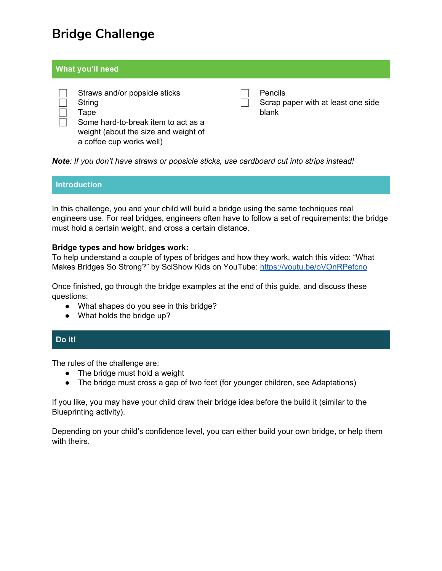# **Bridge Challenge**

### **What you'll need**



**Pencils** 

Scrap paper with at least one side blank

*Note: If you don't have straws or popsicle sticks, use cardboard cut into strips instead!*

# **Introduction**

In this challenge, you and your child will build a bridge using the same techniques real engineers use. For real bridges, engineers often have to follow a set of requirements: the bridge must hold a certain weight, and cross a certain distance.

### **Bridge types and how bridges work:**

To help understand a couple of types of bridges and how they work, watch this video: "What Makes Bridges So Strong?" by SciShow Kids on YouTube: <https://youtu.be/oVOnRPefcno>

Once finished, go through the bridge examples at the end of this guide, and discuss these questions:

- What shapes do you see in this bridge?
- What holds the bridge up?

### **Do it!**

The rules of the challenge are:

- The bridge must hold a weight
- The bridge must cross a gap of two feet (for younger children, see Adaptations)

If you like, you may have your child draw their bridge idea before the build it (similar to the Blueprinting activity).

Depending on your child's confidence level, you can either build your own bridge, or help them with theirs.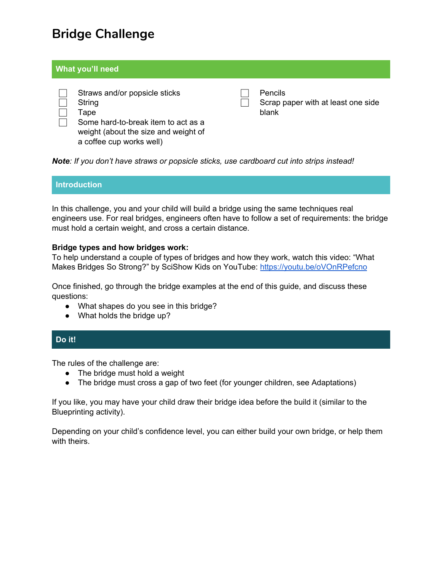## **Adaptations Vocabulary Fun Fun facts**

**For Younger children**

Change the gap requirement to 1 foot, and/or remove the weight requirement.

**For An Extra Challenge** Increase either the weight or the gap, *or* limit the number of materials that can be used. **Engineers**: People who design and build things like bridges.

**Requirement**: A rule that engineers follow when they are building something.

**Awesome bridges**: Though some bridges aren't very pretty, some are designed to look really cool. Search online for "amazing bridges" to see some examples of really amazing bridges.

### **Bridge example:**